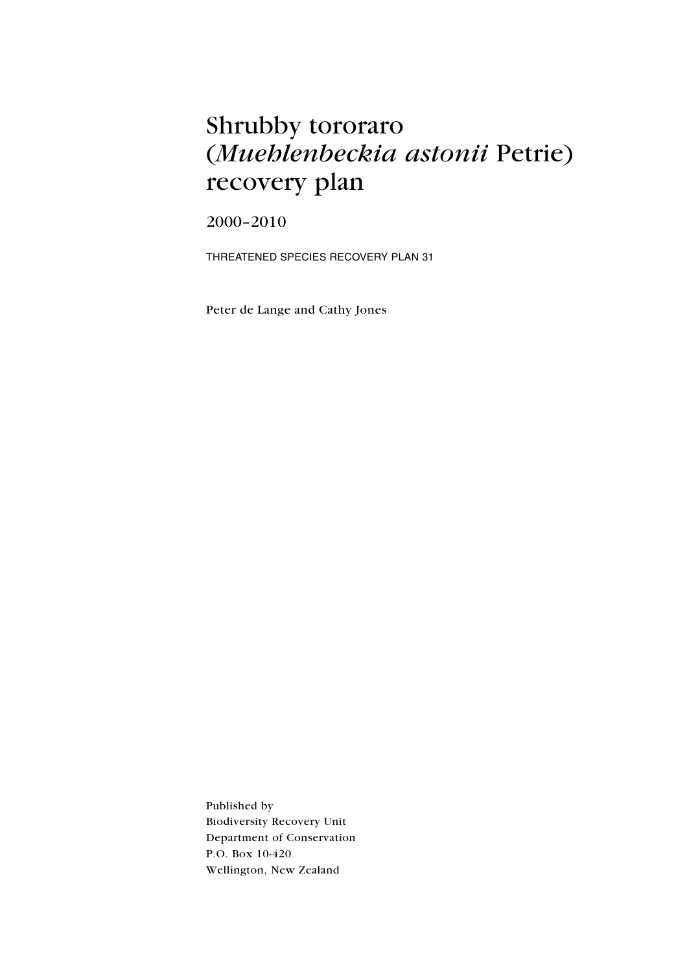# Shrubby tororaro (Muehlenbeckia astonii Petrie) recovery plan

2000-2010

THREATENED SPECIES RECOVERY PLAN 31

Peter de Lange and Cathy Jones

Published by **Biodiversity Recovery Unit** Department of Conservation P.O. Box 10-420 Wellington, New Zealand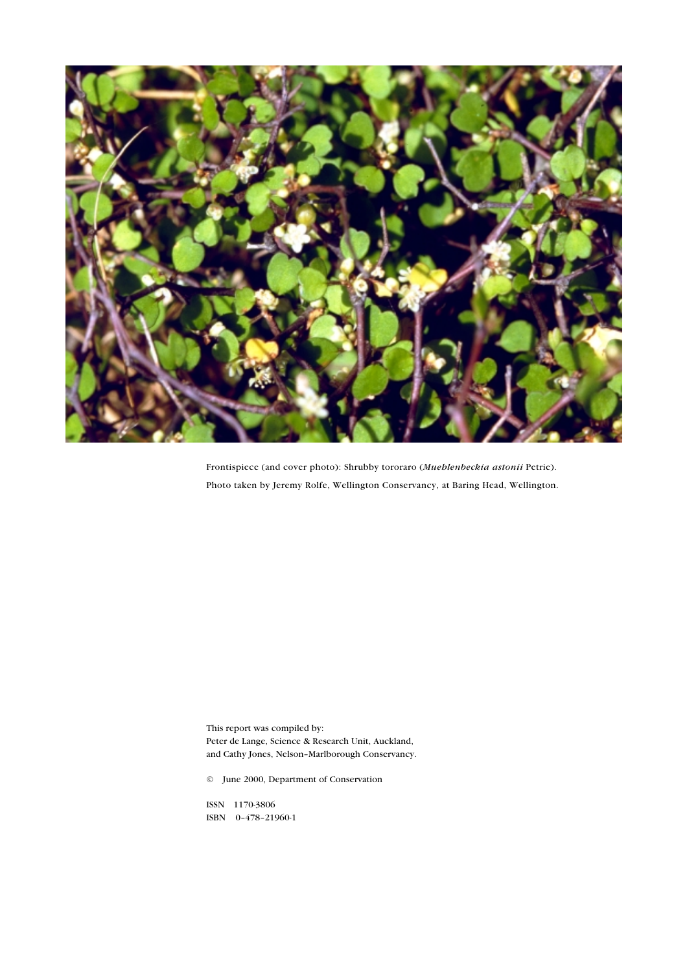

Frontispiece (and cover photo): Shrubby tororaro (Mueblenbeckia astonii Petrie). Photo taken by Jeremy Rolfe, Wellington Conservancy, at Baring Head, Wellington.

This report was compiled by: Peter de Lange, Science & Research Unit, Auckland, and Cathy Jones, Nelson-Marlborough Conservancy.

© June 2000, Department of Conservation

ISSN 1170-3806 ISBN 0-478-21960-1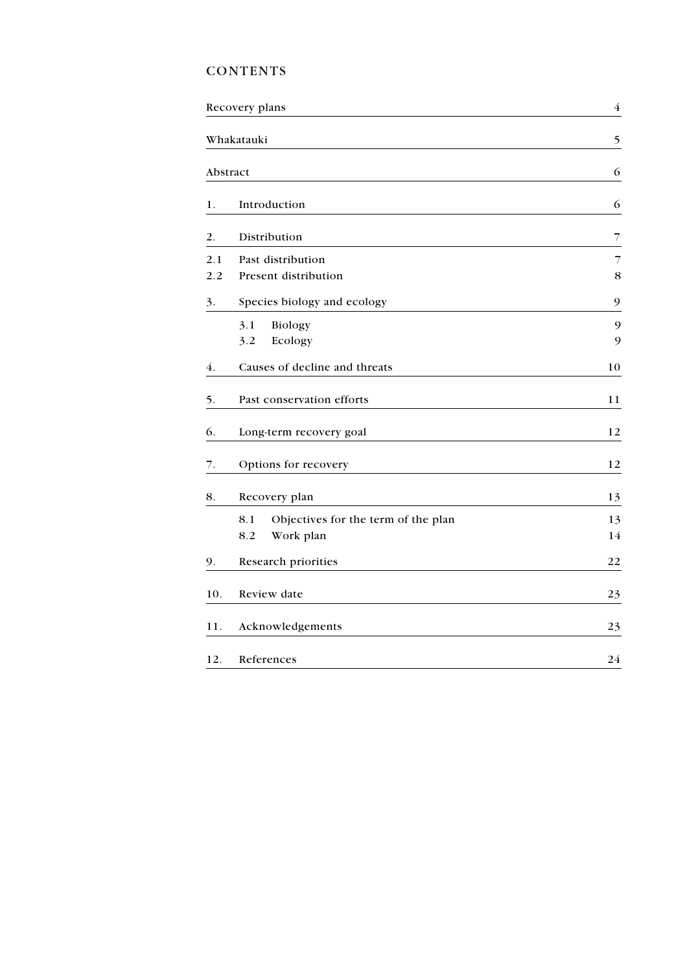# **CONTENTS**

|          | Recovery plans                             | $\overline{4}$ |  |  |
|----------|--------------------------------------------|----------------|--|--|
|          | Whakatauki                                 | 5              |  |  |
| Abstract | 6                                          |                |  |  |
| 1.       | Introduction                               | 6              |  |  |
| 2.       | Distribution                               | $\overline{7}$ |  |  |
| 2.1      | Past distribution                          | 7              |  |  |
| 2.2      | Present distribution                       | 8              |  |  |
| 3.       | Species biology and ecology                | 9              |  |  |
|          | 3.1<br><b>Biology</b>                      | 9              |  |  |
|          | Ecology<br>3.2                             | 9              |  |  |
| 4.       | Causes of decline and threats              | 10             |  |  |
| 5.       | Past conservation efforts                  | 11             |  |  |
| 6.       | Long-term recovery goal                    | 12             |  |  |
| 7.       | Options for recovery                       | 12             |  |  |
| 8.       | Recovery plan                              | 13             |  |  |
|          | Objectives for the term of the plan<br>8.1 | 13             |  |  |
|          | 8.2<br>Work plan                           | 14             |  |  |
| 9.       | Research priorities                        | 22             |  |  |
| 10.      | Review date                                | 23             |  |  |
| 11.      | Acknowledgements                           | 23             |  |  |
| 12.      | References                                 | 24             |  |  |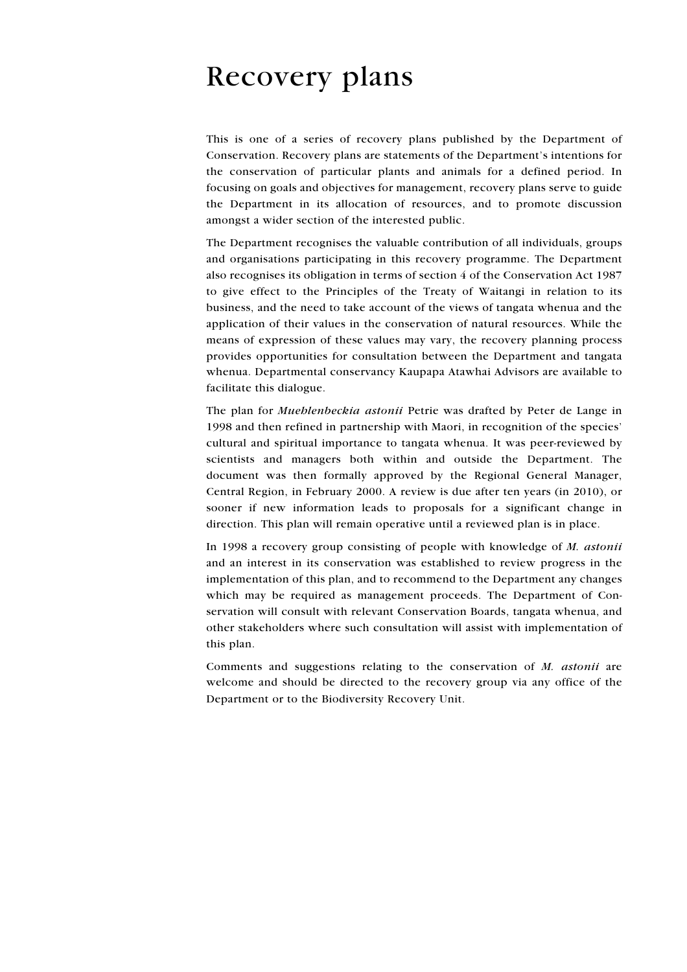# **Recovery plans**

This is one of a series of recovery plans published by the Department of Conservation. Recovery plans are statements of the Department's intentions for the conservation of particular plants and animals for a defined period. In focusing on goals and objectives for management, recovery plans serve to guide the Department in its allocation of resources, and to promote discussion amongst a wider section of the interested public.

The Department recognises the valuable contribution of all individuals, groups and organisations participating in this recovery programme. The Department also recognises its obligation in terms of section 4 of the Conservation Act 1987 to give effect to the Principles of the Treaty of Waitangi in relation to its business, and the need to take account of the views of tangata whenua and the application of their values in the conservation of natural resources. While the means of expression of these values may vary, the recovery planning process provides opportunities for consultation between the Department and tangata whenua. Departmental conservancy Kaupapa Atawhai Advisors are available to facilitate this dialogue.

The plan for *Mueblenbeckia astonii* Petrie was drafted by Peter de Lange in 1998 and then refined in partnership with Maori, in recognition of the species' cultural and spiritual importance to tangata whenua. It was peer-reviewed by scientists and managers both within and outside the Department. The document was then formally approved by the Regional General Manager, Central Region, in February 2000. A review is due after ten years (in 2010), or sooner if new information leads to proposals for a significant change in direction. This plan will remain operative until a reviewed plan is in place.

In 1998 a recovery group consisting of people with knowledge of M. astonii and an interest in its conservation was established to review progress in the implementation of this plan, and to recommend to the Department any changes which may be required as management proceeds. The Department of Conservation will consult with relevant Conservation Boards, tangata whenua, and other stakeholders where such consultation will assist with implementation of this plan.

Comments and suggestions relating to the conservation of M. astonii are welcome and should be directed to the recovery group via any office of the Department or to the Biodiversity Recovery Unit.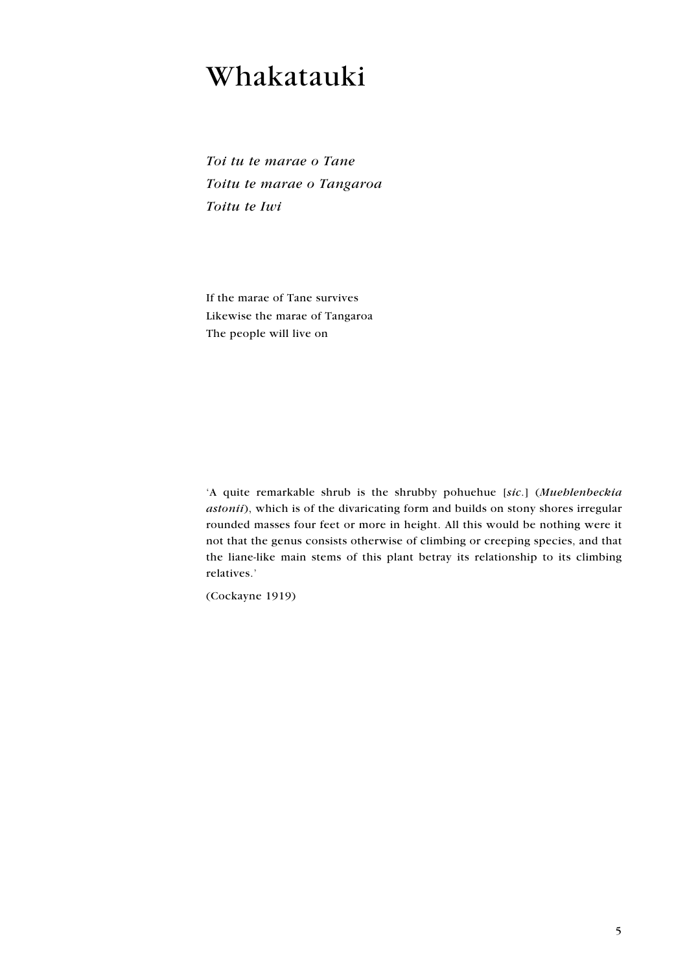# Whakatauki

Toi tu te marae o Tane Toitu te marae o Tangaroa Toitu te Iwi

If the marae of Tane survives Likewise the marae of Tangaroa The people will live on

'A quite remarkable shrub is the shrubby pohuehue [sic.] (Muehlenbeckia astonii), which is of the divaricating form and builds on stony shores irregular rounded masses four feet or more in height. All this would be nothing were it not that the genus consists otherwise of climbing or creeping species, and that the liane-like main stems of this plant betray its relationship to its climbing relatives.'

(Cockayne 1919)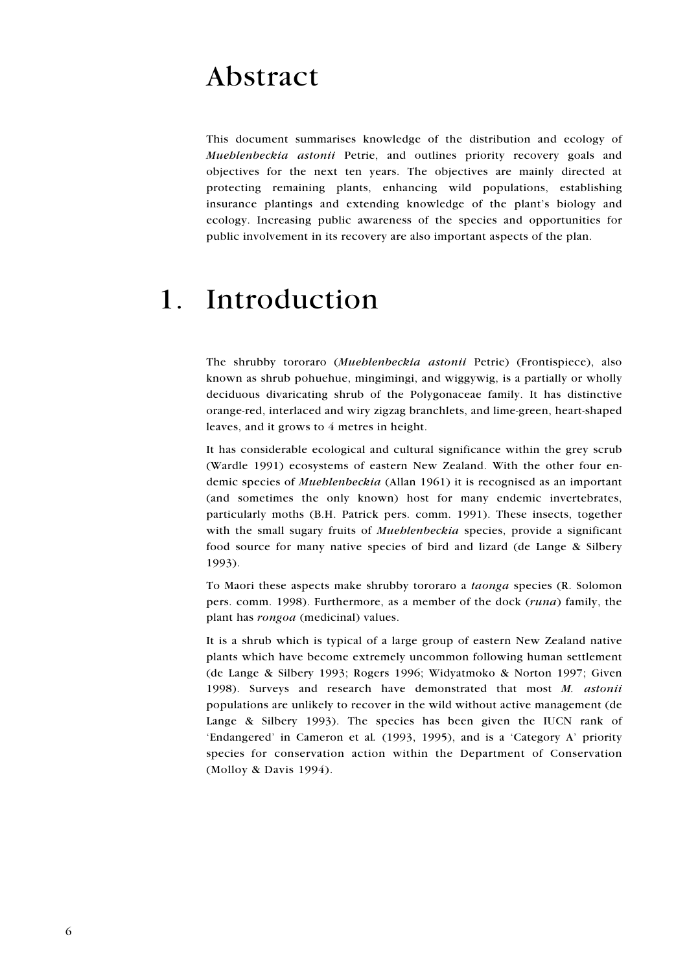# Abstract

This document summarises knowledge of the distribution and ecology of Mueblenbeckia astonii Petrie, and outlines priority recovery goals and objectives for the next ten years. The objectives are mainly directed at protecting remaining plants, enhancing wild populations, establishing insurance plantings and extending knowledge of the plant's biology and ecology. Increasing public awareness of the species and opportunities for public involvement in its recovery are also important aspects of the plan.

### Introduction  $\mathbf 1$

The shrubby tororaro (Muehlenbeckia astonii Petrie) (Frontispiece), also known as shrub pohuehue, mingimingi, and wiggywig, is a partially or wholly deciduous divaricating shrub of the Polygonaceae family. It has distinctive orange-red, interlaced and wiry zigzag branchlets, and lime-green, heart-shaped leaves, and it grows to 4 metres in height.

It has considerable ecological and cultural significance within the grey scrub (Wardle 1991) ecosystems of eastern New Zealand. With the other four endemic species of *Mueblenbeckia* (Allan 1961) it is recognised as an important (and sometimes the only known) host for many endemic invertebrates, particularly moths (B.H. Patrick pers. comm. 1991). These insects, together with the small sugary fruits of *Mueblenbeckia* species, provide a significant food source for many native species of bird and lizard (de Lange & Silbery 1993).

To Maori these aspects make shrubby tororaro a *taonga* species (R. Solomon pers. comm. 1998). Furthermore, as a member of the dock (runa) family, the plant has rongoa (medicinal) values.

It is a shrub which is typical of a large group of eastern New Zealand native plants which have become extremely uncommon following human settlement (de Lange & Silbery 1993; Rogers 1996; Widyatmoko & Norton 1997; Given 1998). Surveys and research have demonstrated that most M. astonii populations are unlikely to recover in the wild without active management (de Lange & Silbery 1993). The species has been given the IUCN rank of 'Endangered' in Cameron et al. (1993, 1995), and is a 'Category A' priority species for conservation action within the Department of Conservation (Molloy & Davis 1994).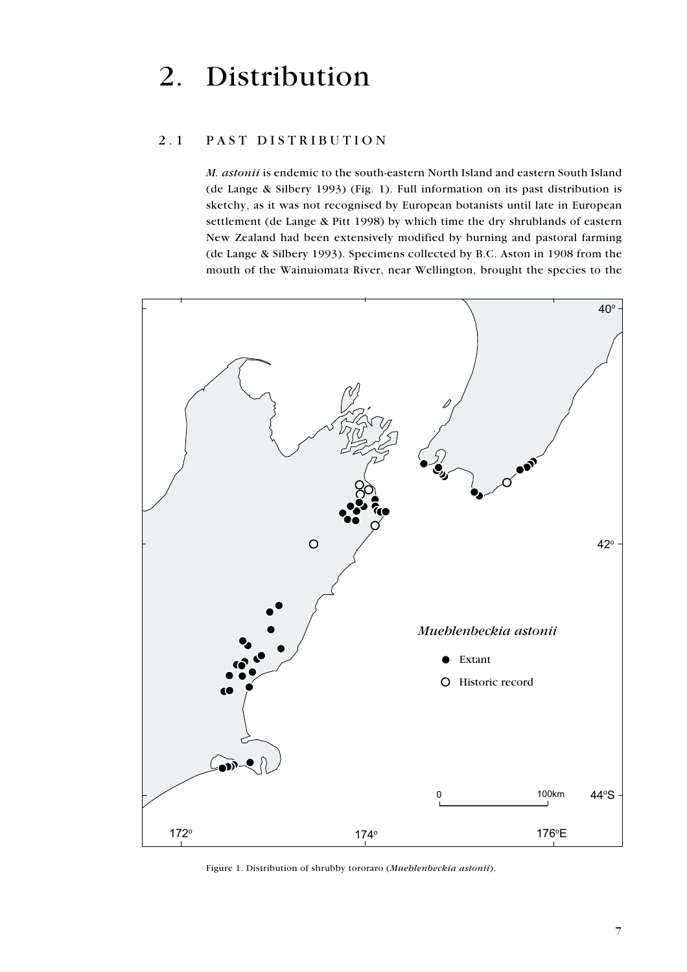# Distribution 2.

#### $2.1$ PAST DISTRIBUTION

M. astonii is endemic to the south-eastern North Island and eastern South Island (de Lange & Silbery 1993) (Fig. 1). Full information on its past distribution is sketchy, as it was not recognised by European botanists until late in European settlement (de Lange & Pitt 1998) by which time the dry shrublands of eastern New Zealand had been extensively modified by burning and pastoral farming (de Lange & Silbery 1993). Specimens collected by B.C. Aston in 1908 from the mouth of the Wainuiomata River, near Wellington, brought the species to the



Figure 1. Distribution of shrubby tororaro (Muehlenbeckia astonii).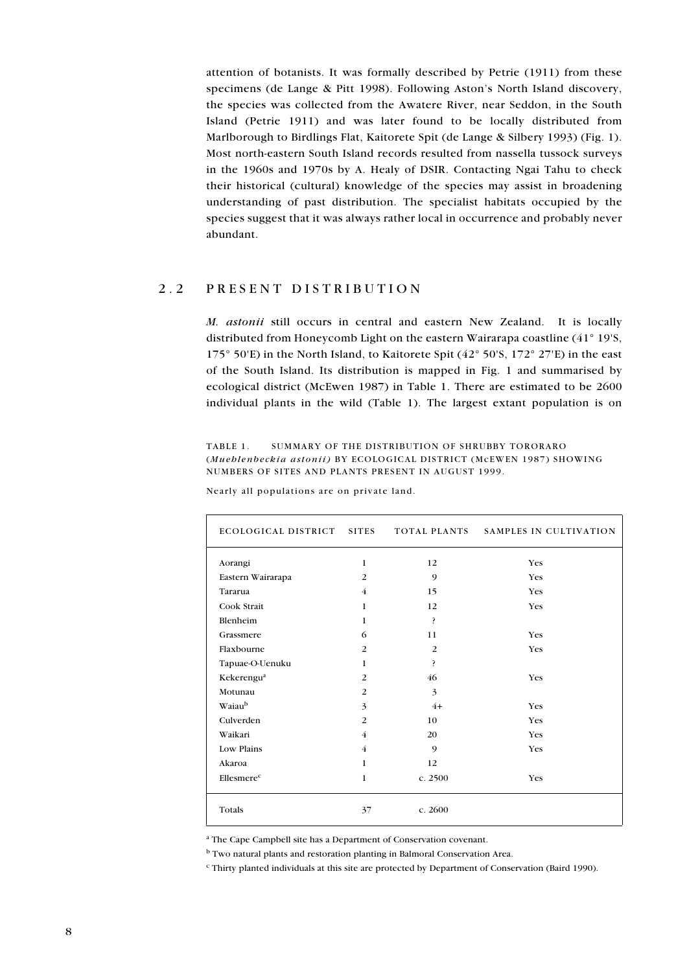attention of botanists. It was formally described by Petrie (1911) from these specimens (de Lange & Pitt 1998). Following Aston's North Island discovery, the species was collected from the Awatere River, near Seddon, in the South Island (Petrie 1911) and was later found to be locally distributed from Marlborough to Birdlings Flat, Kaitorete Spit (de Lange & Silbery 1993) (Fig. 1). Most north-eastern South Island records resulted from nassella tussock surveys in the 1960s and 1970s by A. Healy of DSIR. Contacting Ngai Tahu to check their historical (cultural) knowledge of the species may assist in broadening understanding of past distribution. The specialist habitats occupied by the species suggest that it was always rather local in occurrence and probably never abundant.

#### $2^{2}$ PRESENT DISTRIBUTION

M. astonii still occurs in central and eastern New Zealand. It is locally distributed from Honeycomb Light on the eastern Wairarapa coastline (41° 19'S, 175° 50'E) in the North Island, to Kaitorete Spit (42° 50'S, 172° 27'E) in the east of the South Island. Its distribution is mapped in Fig. 1 and summarised by ecological district (McEwen 1987) in Table 1. There are estimated to be 2600 individual plants in the wild (Table 1). The largest extant population is on

TABLE 1 SUMMARY OF THE DISTRIBUTION OF SHRUBBY TORORARO (Mueblenbeckia astonii) BY ECOLOGICAL DISTRICT (McEWEN 1987) SHOWING NUMBERS OF SITES AND PLANTS PRESENT IN AUGUST 1999.

| ECOLOGICAL DISTRICT SITES |                |         | TOTAL PLANTS SAMPLES IN CULTIVATION |
|---------------------------|----------------|---------|-------------------------------------|
| Aorangi                   | 1              | 12      | Yes                                 |
| Eastern Wairarapa         | 2              | 9       | Yes                                 |
| Tararua                   | 4              | 15      | <b>Yes</b>                          |
| Cook Strait               | $\mathbf{1}$   | 12      | Yes                                 |
| Blenheim                  | $\mathbf{1}$   | ?       |                                     |
| Grassmere                 | 6              | 11      | Yes                                 |
| Flaxbourne                | $\overline{2}$ | 2       | <b>Yes</b>                          |
| Tapuae-O-Uenuku           | $\mathbf{1}$   | ş.      |                                     |
| Kekerengu <sup>a</sup>    | 2              | 46      | <b>Yes</b>                          |
| Motunau                   | 2              | 3       |                                     |
| Waiaub                    | 3              | $4+$    | Yes                                 |
| Culverden                 | $\overline{2}$ | 10      | Yes                                 |
| Waikari                   | 4              | 20      | Yes                                 |
| Low Plains                | $\overline{4}$ | 9       | <b>Yes</b>                          |
| Akaroa                    | $\mathbf{1}$   | 12      |                                     |
| Ellesmerec                | 1              | c. 2500 | <b>Yes</b>                          |
| Totals                    | 37             | c. 2600 |                                     |

Nearly all populations are on private land.

<sup>a</sup> The Cape Campbell site has a Department of Conservation covenant.

<sup>b</sup> Two natural plants and restoration planting in Balmoral Conservation Area.

<sup>c</sup> Thirty planted individuals at this site are protected by Department of Conservation (Baird 1990).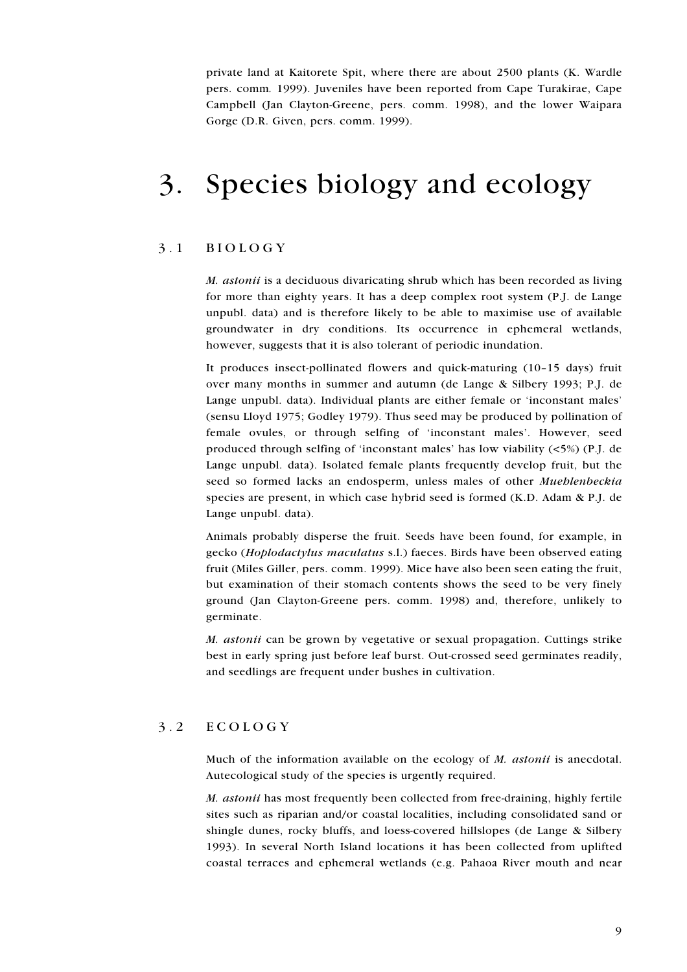private land at Kaitorete Spit, where there are about 2500 plants (K. Wardle pers. comm. 1999). Juveniles have been reported from Cape Turakirae, Cape Campbell (Jan Clayton-Greene, pers. comm. 1998), and the lower Waipara Gorge (D.R. Given, pers. comm. 1999).

# Species biology and ecology  $\mathfrak{Z}.$

#### $3.1$ **BIOLOGY**

M. astonii is a deciduous divaricating shrub which has been recorded as living for more than eighty years. It has a deep complex root system (P.J. de Lange unpubl. data) and is therefore likely to be able to maximise use of available groundwater in dry conditions. Its occurrence in ephemeral wetlands, however, suggests that it is also tolerant of periodic inundation.

It produces insect-pollinated flowers and quick-maturing (10-15 days) fruit over many months in summer and autumn (de Lange & Silbery 1993; P.J. de Lange unpubl. data). Individual plants are either female or 'inconstant males' (sensu Lloyd 1975; Godley 1979). Thus seed may be produced by pollination of female ovules, or through selfing of 'inconstant males'. However, seed produced through selfing of 'inconstant males' has low viability (<5%) (P.J. de Lange unpubl. data). Isolated female plants frequently develop fruit, but the seed so formed lacks an endosperm, unless males of other Mueblenbeckia species are present, in which case hybrid seed is formed (K.D. Adam & P.J. de Lange unpubl. data).

Animals probably disperse the fruit. Seeds have been found, for example, in gecko (Hoplodactylus maculatus s.l.) faeces. Birds have been observed eating fruit (Miles Giller, pers. comm. 1999). Mice have also been seen eating the fruit, but examination of their stomach contents shows the seed to be very finely ground (Jan Clayton-Greene pers. comm. 1998) and, therefore, unlikely to germinate.

M. astonii can be grown by vegetative or sexual propagation. Cuttings strike best in early spring just before leaf burst. Out-crossed seed germinates readily, and seedlings are frequent under bushes in cultivation.

#### $3.2$ ECOLOGY

Much of the information available on the ecology of M. astonii is anecdotal. Autecological study of the species is urgently required.

M. astonii has most frequently been collected from free-draining, highly fertile sites such as riparian and/or coastal localities, including consolidated sand or shingle dunes, rocky bluffs, and loess-covered hillslopes (de Lange & Silbery 1993). In several North Island locations it has been collected from uplifted coastal terraces and ephemeral wetlands (e.g. Pahaoa River mouth and near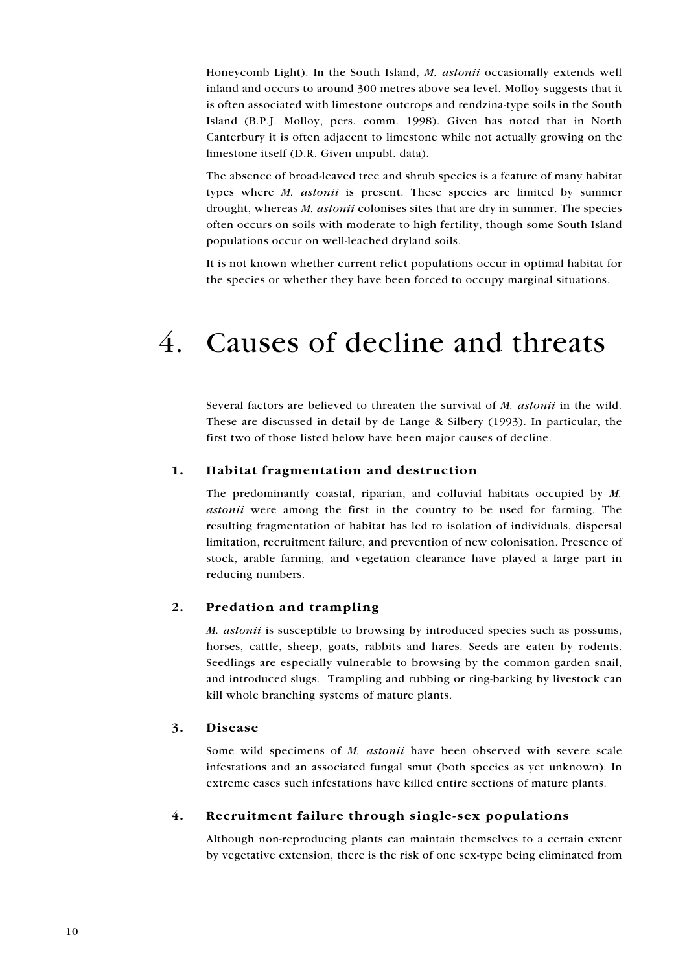Honeycomb Light). In the South Island, M. astonii occasionally extends well inland and occurs to around 300 metres above sea level. Molloy suggests that it is often associated with limestone outcrops and rendzina-type soils in the South Island (B.P.J. Molloy, pers. comm. 1998). Given has noted that in North Canterbury it is often adjacent to limestone while not actually growing on the limestone itself (D.R. Given unpubl. data).

The absence of broad-leaved tree and shrub species is a feature of many habitat types where *M. astonii* is present. These species are limited by summer drought, whereas *M. astonii* colonises sites that are dry in summer. The species often occurs on soils with moderate to high fertility, though some South Island populations occur on well-leached dryland soils.

It is not known whether current relict populations occur in optimal habitat for the species or whether they have been forced to occupy marginal situations.

# $\overline{4}$ Causes of decline and threats

Several factors are believed to threaten the survival of M. astonii in the wild. These are discussed in detail by de Lange & Silbery (1993). In particular, the first two of those listed below have been major causes of decline.

#### 1. Habitat fragmentation and destruction

The predominantly coastal, riparian, and colluvial habitats occupied by M. astonii were among the first in the country to be used for farming. The resulting fragmentation of habitat has led to isolation of individuals, dispersal limitation, recruitment failure, and prevention of new colonisation. Presence of stock, arable farming, and vegetation clearance have played a large part in reducing numbers.

#### $2.$ Predation and trampling

*M. astonii* is susceptible to browsing by introduced species such as possums, horses, cattle, sheep, goats, rabbits and hares. Seeds are eaten by rodents. Seedlings are especially vulnerable to browsing by the common garden snail, and introduced slugs. Trampling and rubbing or ring-barking by livestock can kill whole branching systems of mature plants.

#### 3. **Disease**

Some wild specimens of M. astonii have been observed with severe scale infestations and an associated fungal smut (both species as yet unknown). In extreme cases such infestations have killed entire sections of mature plants.

#### 4. Recruitment failure through single-sex populations

Although non-reproducing plants can maintain themselves to a certain extent by vegetative extension, there is the risk of one sex-type being eliminated from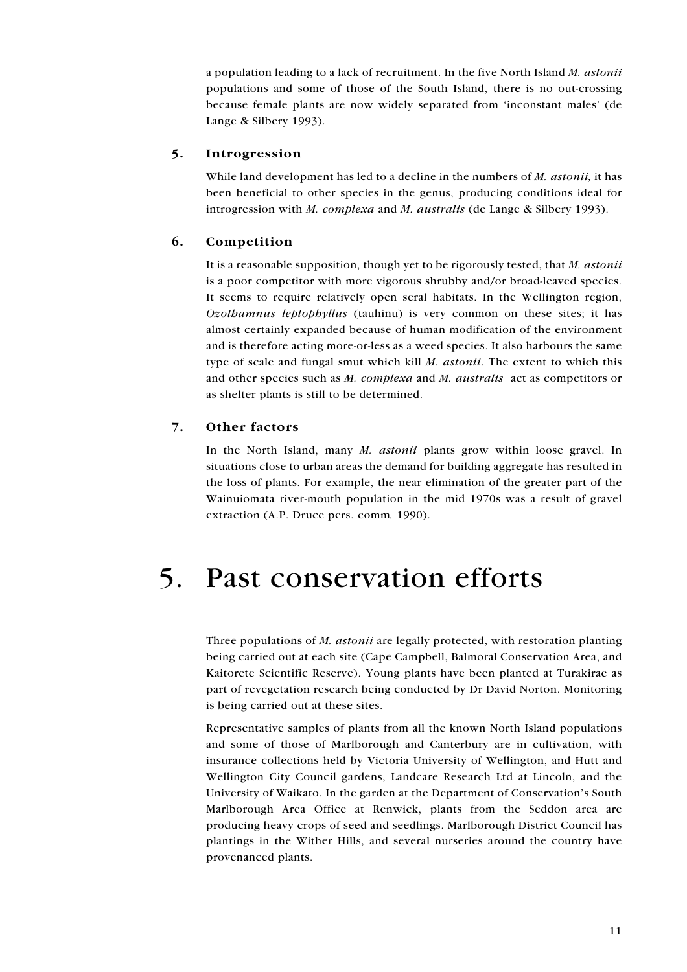a population leading to a lack of recruitment. In the five North Island M. astonii populations and some of those of the South Island, there is no out-crossing because female plants are now widely separated from 'inconstant males' (de Lange & Silbery 1993).

#### $5.$ Introgression

While land development has led to a decline in the numbers of M. astonii, it has been beneficial to other species in the genus, producing conditions ideal for introgression with *M. complexa* and *M. australis* (de Lange & Silbery 1993).

#### 6. Competition

It is a reasonable supposition, though yet to be rigorously tested, that M. astonii is a poor competitor with more vigorous shrubby and/or broad-leaved species. It seems to require relatively open seral habitats. In the Wellington region, Ozothamnus leptophyllus (tauhinu) is very common on these sites; it has almost certainly expanded because of human modification of the environment and is therefore acting more-or-less as a weed species. It also harbours the same type of scale and fungal smut which kill *M. astonii*. The extent to which this and other species such as M. complexa and M. australis act as competitors or as shelter plants is still to be determined.

#### 7. Other factors

In the North Island, many  $M$ , *astonii* plants grow within loose gravel. In situations close to urban areas the demand for building aggregate has resulted in the loss of plants. For example, the near elimination of the greater part of the Wainuiomata river-mouth population in the mid 1970s was a result of gravel extraction (A.P. Druce pers. comm. 1990).

## Past conservation efforts  $5<sub>1</sub>$

Three populations of *M. astonii* are legally protected, with restoration planting being carried out at each site (Cape Campbell, Balmoral Conservation Area, and Kaitorete Scientific Reserve). Young plants have been planted at Turakirae as part of revegetation research being conducted by Dr David Norton. Monitoring is being carried out at these sites.

Representative samples of plants from all the known North Island populations and some of those of Marlborough and Canterbury are in cultivation, with insurance collections held by Victoria University of Wellington, and Hutt and Wellington City Council gardens, Landcare Research Ltd at Lincoln, and the University of Waikato. In the garden at the Department of Conservation's South Marlborough Area Office at Renwick, plants from the Seddon area are producing heavy crops of seed and seedlings. Marlborough District Council has plantings in the Wither Hills, and several nurseries around the country have provenanced plants.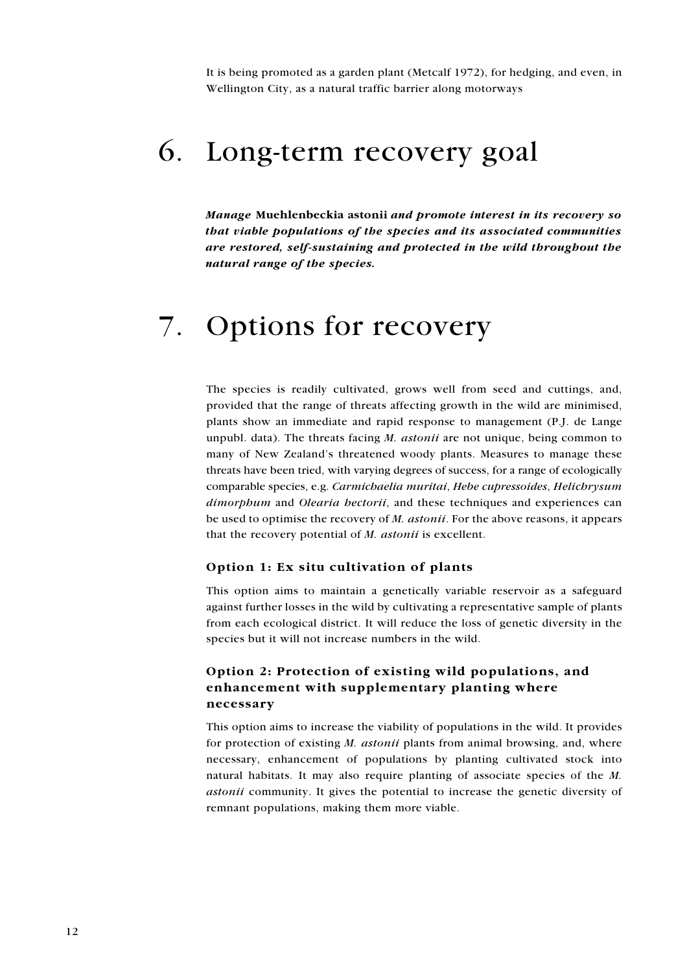It is being promoted as a garden plant (Metcalf 1972), for hedging, and even, in Wellington City, as a natural traffic barrier along motorways

# 6. Long-term recovery goal

Manage Muehlenbeckia astonii and promote interest in its recovery so that viable populations of the species and its associated communities are restored, self-sustaining and protected in the wild throughout the natural range of the species.

# 7. Options for recovery

The species is readily cultivated, grows well from seed and cuttings, and, provided that the range of threats affecting growth in the wild are minimised, plants show an immediate and rapid response to management (P.J. de Lange unpubl. data). The threats facing  $M$ . *astonii* are not unique, being common to many of New Zealand's threatened woody plants. Measures to manage these threats have been tried, with varying degrees of success, for a range of ecologically comparable species, e.g. Carmichaelia muritai, Hebe cupressoides, Helichrysum *dimorphum* and *Olearia bectorii*, and these techniques and experiences can be used to optimise the recovery of M. astonii. For the above reasons, it appears that the recovery potential of M. astonii is excellent.

#### Option 1: Ex situ cultivation of plants

This option aims to maintain a genetically variable reservoir as a safeguard against further losses in the wild by cultivating a representative sample of plants from each ecological district. It will reduce the loss of genetic diversity in the species but it will not increase numbers in the wild.

## Option 2: Protection of existing wild populations, and enhancement with supplementary planting where necessary

This option aims to increase the viability of populations in the wild. It provides for protection of existing *M. astonii* plants from animal browsing, and, where necessary, enhancement of populations by planting cultivated stock into natural habitats. It may also require planting of associate species of the  $M$ . *astonii* community. It gives the potential to increase the genetic diversity of remnant populations, making them more viable.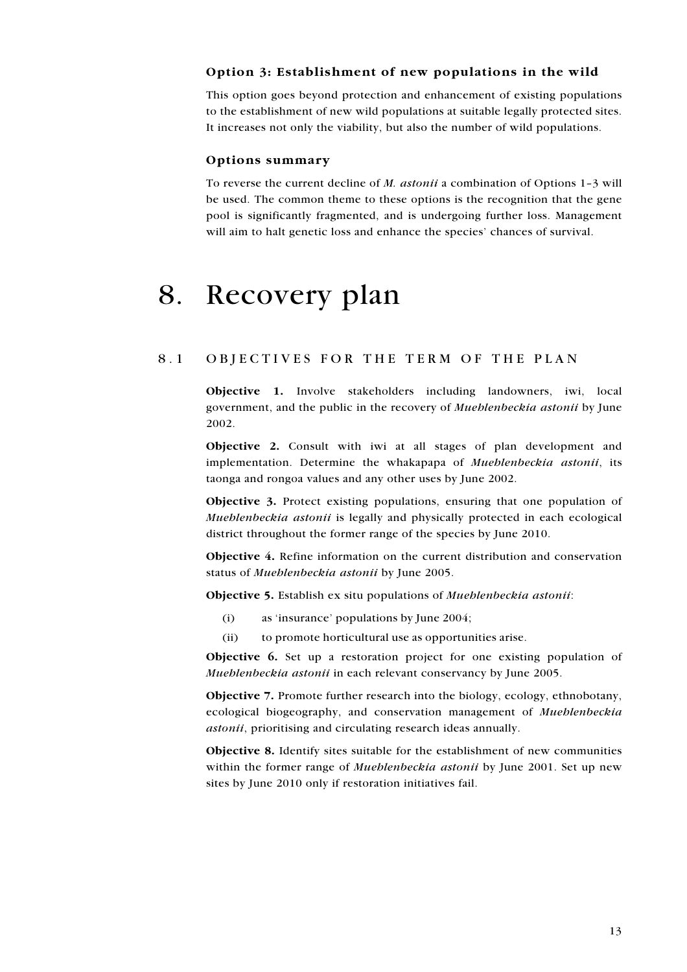## Option 3: Establishment of new populations in the wild

This option goes beyond protection and enhancement of existing populations to the establishment of new wild populations at suitable legally protected sites. It increases not only the viability, but also the number of wild populations.

#### Options summary

To reverse the current decline of  $M$ . *astonii* a combination of Options 1-3 will be used. The common theme to these options is the recognition that the gene pool is significantly fragmented, and is undergoing further loss. Management will aim to halt genetic loss and enhance the species' chances of survival.

### Recovery plan 8.

#### 8.1 OBJECTIVES FOR THE TERM OF THE PLAN

**Objective 1.** Involve stakeholders including landowners, iwi, local government, and the public in the recovery of *Mueblenbeckia astonii* by June 2002.

Objective 2. Consult with iwi at all stages of plan development and implementation. Determine the whakapapa of *Mueblenbeckia astonii*, its taonga and rongoa values and any other uses by June 2002.

**Objective 3.** Protect existing populations, ensuring that one population of Mueblenbeckia astonii is legally and physically protected in each ecological district throughout the former range of the species by June 2010.

Objective 4. Refine information on the current distribution and conservation status of Mueblenbeckia astonii by June 2005.

Objective 5. Establish ex situ populations of Mueblenbeckia astonii:

- $(i)$ as 'insurance' populations by June 2004;
- $(ii)$ to promote horticultural use as opportunities arise.

**Objective 6.** Set up a restoration project for one existing population of Mueblenbeckia astonii in each relevant conservancy by June 2005.

**Objective 7.** Promote further research into the biology, ecology, ethnobotany, ecological biogeography, and conservation management of Mueblenbeckia astonii, prioritising and circulating research ideas annually.

Objective 8. Identify sites suitable for the establishment of new communities within the former range of *Mueblenbeckia astonii* by June 2001. Set up new sites by June 2010 only if restoration initiatives fail.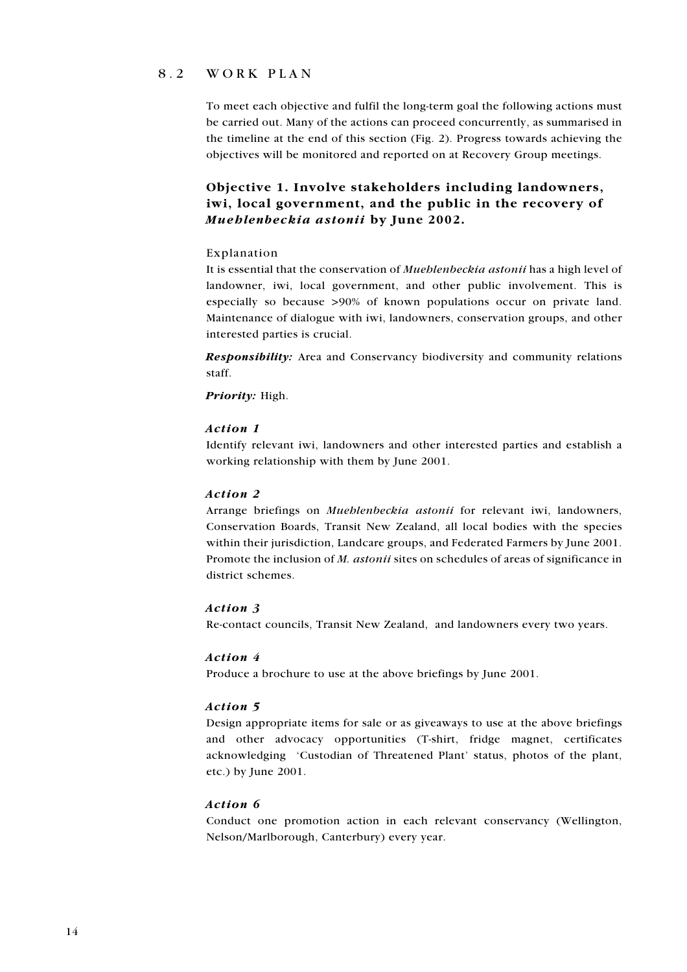#### $8.2$ WORK PLAN

To meet each objective and fulfil the long-term goal the following actions must be carried out. Many of the actions can proceed concurrently, as summarised in the timeline at the end of this section (Fig. 2). Progress towards achieving the objectives will be monitored and reported on at Recovery Group meetings.

# Objective 1. Involve stakeholders including landowners. iwi, local government, and the public in the recovery of Mueblenbeckia astonii by June 2002.

#### Explanation

It is essential that the conservation of *Mueblenbeckia astonii* has a high level of landowner, iwi, local government, and other public involvement. This is especially so because >90% of known populations occur on private land. Maintenance of dialogue with iwi, landowners, conservation groups, and other interested parties is crucial.

**Responsibility:** Area and Conservancy biodiversity and community relations staff.

Priority: High.

#### Action 1

Identify relevant iwi, landowners and other interested parties and establish a working relationship with them by June 2001.

## Action 2

Arrange briefings on *Mueblenbeckia astonii* for relevant iwi, landowners, Conservation Boards, Transit New Zealand, all local bodies with the species within their jurisdiction, Landcare groups, and Federated Farmers by June 2001. Promote the inclusion of *M. astonii* sites on schedules of areas of significance in district schemes.

#### Action 3

Re-contact councils, Transit New Zealand, and landowners every two years.

#### Action 4

Produce a brochure to use at the above briefings by June 2001.

#### Action 5

Design appropriate items for sale or as giveaways to use at the above briefings and other advocacy opportunities (T-shirt, fridge magnet, certificates acknowledging 'Custodian of Threatened Plant' status, photos of the plant, etc.) by June 2001.

## Action 6

Conduct one promotion action in each relevant conservancy (Wellington, Nelson/Marlborough, Canterbury) every year.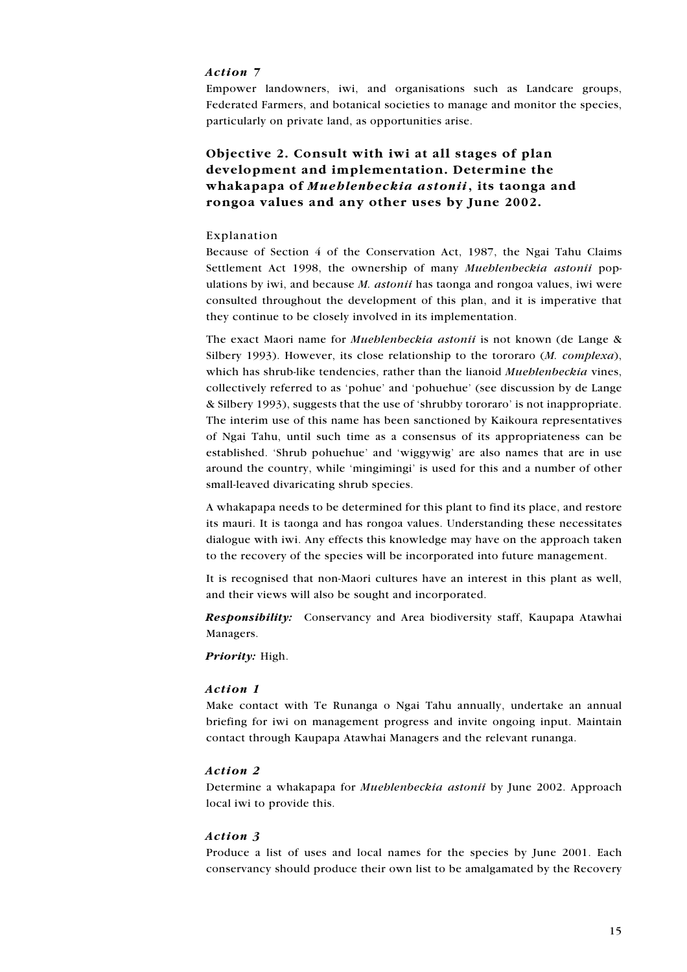### Action 7

Empower landowners, iwi, and organisations such as Landcare groups, Federated Farmers, and botanical societies to manage and monitor the species, particularly on private land, as opportunities arise.

# Objective 2. Consult with iwi at all stages of plan development and implementation. Determine the whakapapa of Mueblenbeckia astonii, its taonga and rongoa values and any other uses by June 2002.

#### Explanation

Because of Section 4 of the Conservation Act, 1987, the Ngai Tahu Claims Settlement Act 1998, the ownership of many Mueblenbeckia astonii populations by iwi, and because M. astonii has taonga and rongoa values, iwi were consulted throughout the development of this plan, and it is imperative that they continue to be closely involved in its implementation.

The exact Maori name for *Mueblenbeckia astonii* is not known (de Lange & Silbery 1993). However, its close relationship to the tororaro (M. complexa), which has shrub-like tendencies, rather than the lianoid Mueblenbeckia vines, collectively referred to as 'pohue' and 'pohuehue' (see discussion by de Lange & Silbery 1993), suggests that the use of 'shrubby tororaro' is not inappropriate. The interim use of this name has been sanctioned by Kaikoura representatives of Ngai Tahu, until such time as a consensus of its appropriateness can be established. 'Shrub pohuehue' and 'wiggywig' are also names that are in use around the country, while 'mingimingi' is used for this and a number of other small-leaved divaricating shrub species.

A whakapapa needs to be determined for this plant to find its place, and restore its mauri. It is taonga and has rongoa values. Understanding these necessitates dialogue with iwi. Any effects this knowledge may have on the approach taken to the recovery of the species will be incorporated into future management.

It is recognised that non-Maori cultures have an interest in this plant as well, and their views will also be sought and incorporated.

Responsibility: Conservancy and Area biodiversity staff, Kaupapa Atawhai Managers.

Priority: High.

#### Action 1

Make contact with Te Runanga o Ngai Tahu annually, undertake an annual briefing for iwi on management progress and invite ongoing input. Maintain contact through Kaupapa Atawhai Managers and the relevant runanga.

#### Action 2

Determine a whakapapa for *Mueblenbeckia astonii* by June 2002. Approach local iwi to provide this.

#### Action 3

Produce a list of uses and local names for the species by June 2001. Each conservancy should produce their own list to be amalgamated by the Recovery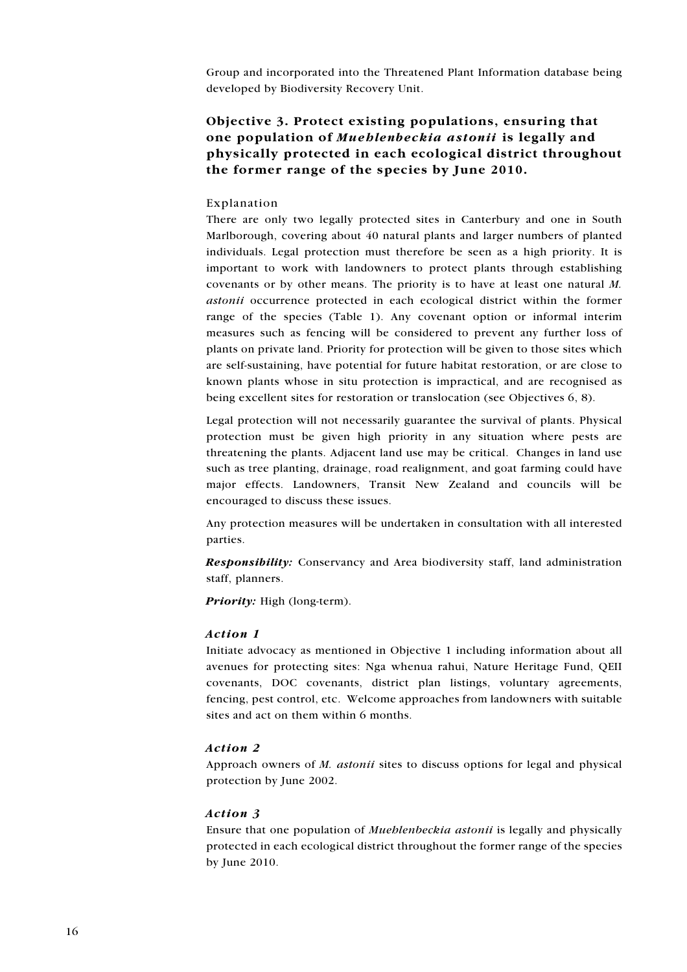Group and incorporated into the Threatened Plant Information database being developed by Biodiversity Recovery Unit.

# Objective 3. Protect existing populations, ensuring that one population of Mueblenbeckia astonii is legally and physically protected in each ecological district throughout the former range of the species by June 2010.

#### Explanation

There are only two legally protected sites in Canterbury and one in South Marlborough, covering about 40 natural plants and larger numbers of planted individuals. Legal protection must therefore be seen as a high priority. It is important to work with landowners to protect plants through establishing covenants or by other means. The priority is to have at least one natural  $M$ . astonii occurrence protected in each ecological district within the former range of the species (Table 1). Any covenant option or informal interim measures such as fencing will be considered to prevent any further loss of plants on private land. Priority for protection will be given to those sites which are self-sustaining, have potential for future habitat restoration, or are close to known plants whose in situ protection is impractical, and are recognised as being excellent sites for restoration or translocation (see Objectives 6, 8).

Legal protection will not necessarily guarantee the survival of plants. Physical protection must be given high priority in any situation where pests are threatening the plants. Adjacent land use may be critical. Changes in land use such as tree planting, drainage, road realignment, and goat farming could have major effects. Landowners, Transit New Zealand and councils will be encouraged to discuss these issues.

Any protection measures will be undertaken in consultation with all interested parties.

**Responsibility:** Conservancy and Area biodiversity staff, land administration staff, planners.

**Priority:** High (long-term).

#### Action 1

Initiate advocacy as mentioned in Objective 1 including information about all avenues for protecting sites: Nga whenua rahui, Nature Heritage Fund, QEII covenants, DOC covenants, district plan listings, voluntary agreements, fencing, pest control, etc. Welcome approaches from landowners with suitable sites and act on them within 6 months.

#### Action 2

Approach owners of M. astonii sites to discuss options for legal and physical protection by June 2002.

#### Action 3

Ensure that one population of *Mueblenbeckia astonii* is legally and physically protected in each ecological district throughout the former range of the species by June 2010.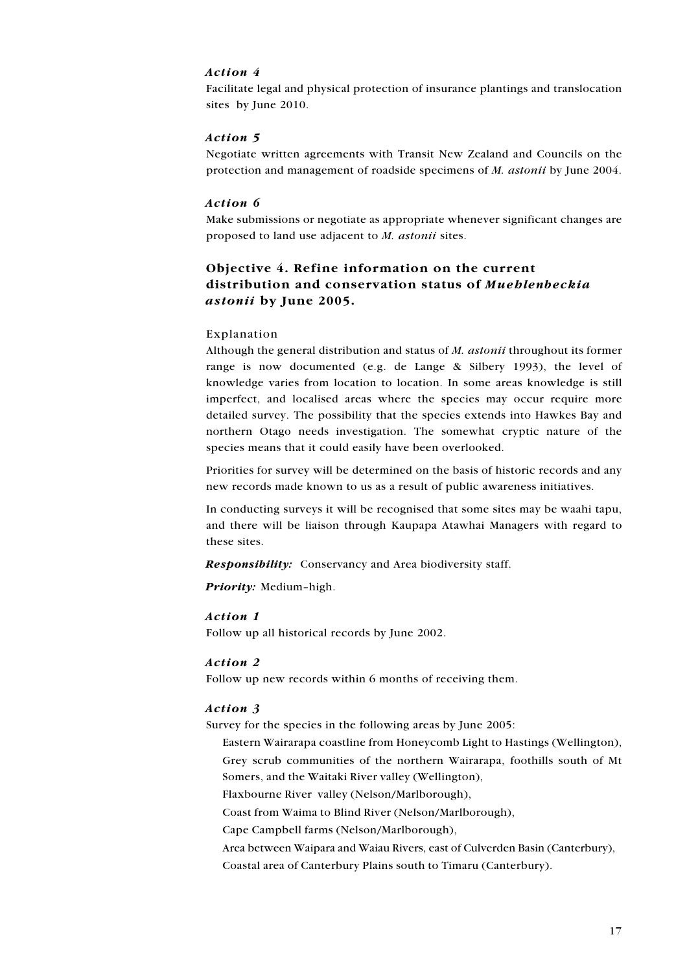### Action 4

Facilitate legal and physical protection of insurance plantings and translocation sites by June 2010.

### Action 5

Negotiate written agreements with Transit New Zealand and Councils on the protection and management of roadside specimens of *M. astonii* by June 2004.

#### Action 6

Make submissions or negotiate as appropriate whenever significant changes are proposed to land use adjacent to *M. astonii* sites.

## Objective 4. Refine information on the current distribution and conservation status of Mueblenbeckia *astonii* by June 2005.

#### Explanation

Although the general distribution and status of M. *astonii* throughout its former range is now documented (e.g. de Lange & Silbery 1993), the level of knowledge varies from location to location. In some areas knowledge is still imperfect, and localised areas where the species may occur require more detailed survey. The possibility that the species extends into Hawkes Bay and northern Otago needs investigation. The somewhat cryptic nature of the species means that it could easily have been overlooked.

Priorities for survey will be determined on the basis of historic records and any new records made known to us as a result of public awareness initiatives.

In conducting surveys it will be recognised that some sites may be waahi tapu, and there will be liaison through Kaupapa Atawhai Managers with regard to these sites.

**Responsibility:** Conservancy and Area biodiversity staff.

Priority: Medium-high.

#### Action 1

Follow up all historical records by June 2002.

### Action 2

Follow up new records within 6 months of receiving them.

#### Action 3

Survey for the species in the following areas by June 2005:

- Eastern Wairarapa coastline from Honeycomb Light to Hastings (Wellington),
- Grey scrub communities of the northern Wairarapa, foothills south of Mt Somers, and the Waitaki River valley (Wellington),

Flaxbourne River valley (Nelson/Marlborough),

Coast from Waima to Blind River (Nelson/Marlborough),

Cape Campbell farms (Nelson/Marlborough),

Area between Waipara and Waiau Rivers, east of Culverden Basin (Canterbury), Coastal area of Canterbury Plains south to Timaru (Canterbury).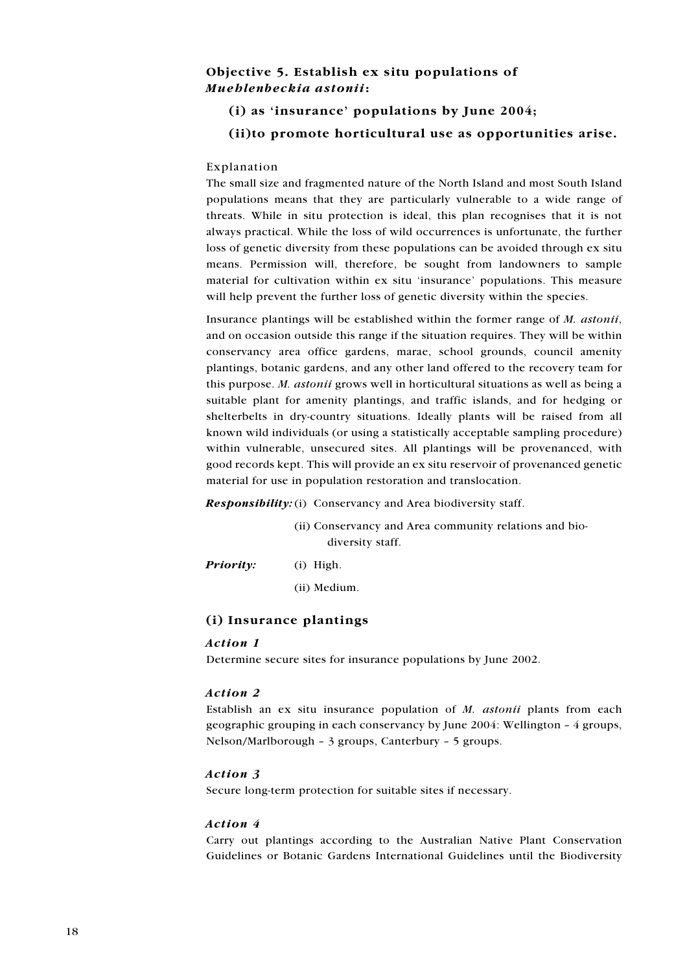## Objective 5. Establish ex situ populations of Mueblenbeckia astonii:

## (i) as 'insurance' populations by June 2004;

## (ii) to promote horticultural use as opportunities arise.

### Explanation

The small size and fragmented nature of the North Island and most South Island populations means that they are particularly vulnerable to a wide range of threats. While in situ protection is ideal, this plan recognises that it is not always practical. While the loss of wild occurrences is unfortunate, the further loss of genetic diversity from these populations can be avoided through ex situ means. Permission will, therefore, be sought from landowners to sample material for cultivation within ex situ 'insurance' populations. This measure will help prevent the further loss of genetic diversity within the species.

Insurance plantings will be established within the former range of M. astonii, and on occasion outside this range if the situation requires. They will be within conservancy area office gardens, marae, school grounds, council amenity plantings, botanic gardens, and any other land offered to the recovery team for this purpose. M. astonii grows well in horticultural situations as well as being a suitable plant for amenity plantings, and traffic islands, and for hedging or shelterbelts in dry-country situations. Ideally plants will be raised from all known wild individuals (or using a statistically acceptable sampling procedure) within vulnerable, unsecured sites. All plantings will be provenanced, with good records kept. This will provide an ex situ reservoir of provenanced genetic material for use in population restoration and translocation.

**Responsibility:** (i) Conservancy and Area biodiversity staff.

(ii) Conservancy and Area community relations and biodiversity staff.

Priority:

 $(i)$  High.

(ii) Medium.

## (i) Insurance plantings

#### Action 1

Determine secure sites for insurance populations by June 2002.

#### Action 2

Establish an ex situ insurance population of M. astonii plants from each geographic grouping in each conservancy by June 2004: Wellington - 4 groups, Nelson/Marlborough -  $3$  groups, Canterbury -  $5$  groups.

#### Action 3

Secure long-term protection for suitable sites if necessary.

#### Action 4

Carry out plantings according to the Australian Native Plant Conservation Guidelines or Botanic Gardens International Guidelines until the Biodiversity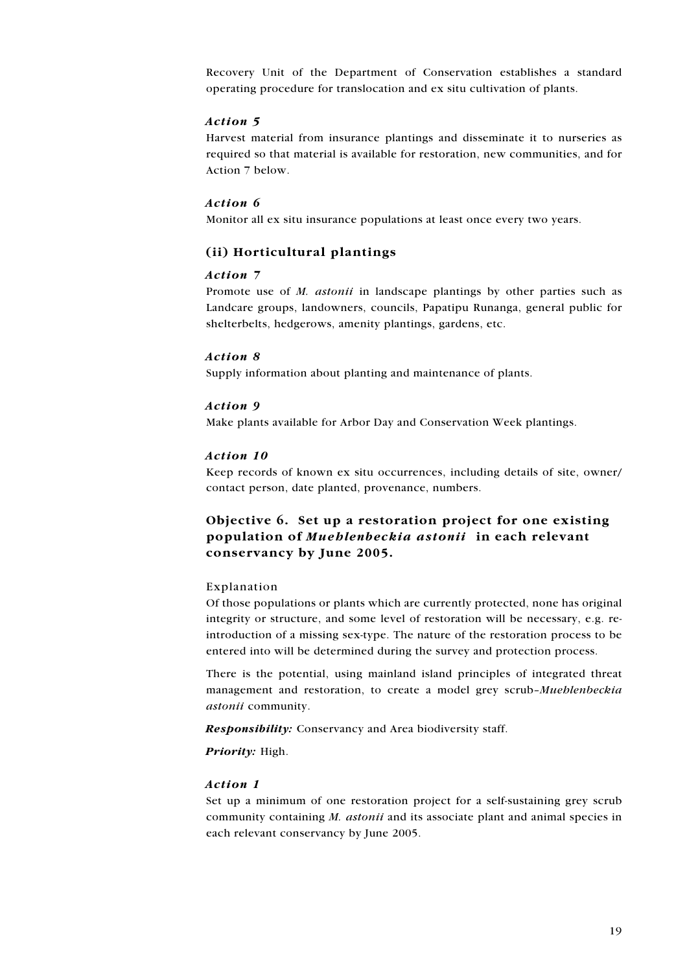Recovery Unit of the Department of Conservation establishes a standard operating procedure for translocation and ex situ cultivation of plants.

### Action 5

Harvest material from insurance plantings and disseminate it to nurseries as required so that material is available for restoration, new communities, and for Action 7 below.

#### Action 6

Monitor all ex situ insurance populations at least once every two years.

## (ii) Horticultural plantings

### Action 7

Promote use of M. *astonii* in landscape plantings by other parties such as Landcare groups, landowners, councils, Papatipu Runanga, general public for shelterbelts, hedgerows, amenity plantings, gardens, etc.

#### Action 8

Supply information about planting and maintenance of plants.

#### Action 9

Make plants available for Arbor Day and Conservation Week plantings.

#### Action 10

Keep records of known ex situ occurrences, including details of site, owner/ contact person, date planted, provenance, numbers.

## Objective 6. Set up a restoration project for one existing population of Mueblenbeckia astonii in each relevant conservancy by June 2005.

#### Explanation

Of those populations or plants which are currently protected, none has original integrity or structure, and some level of restoration will be necessary, e.g. reintroduction of a missing sex-type. The nature of the restoration process to be entered into will be determined during the survey and protection process.

There is the potential, using mainland island principles of integrated threat management and restoration, to create a model grey scrub-Muehlenbeckia astonii community.

**Responsibility:** Conservancy and Area biodiversity staff.

Priority: High.

#### Action 1

Set up a minimum of one restoration project for a self-sustaining grey scrub community containing M. astonii and its associate plant and animal species in each relevant conservancy by June 2005.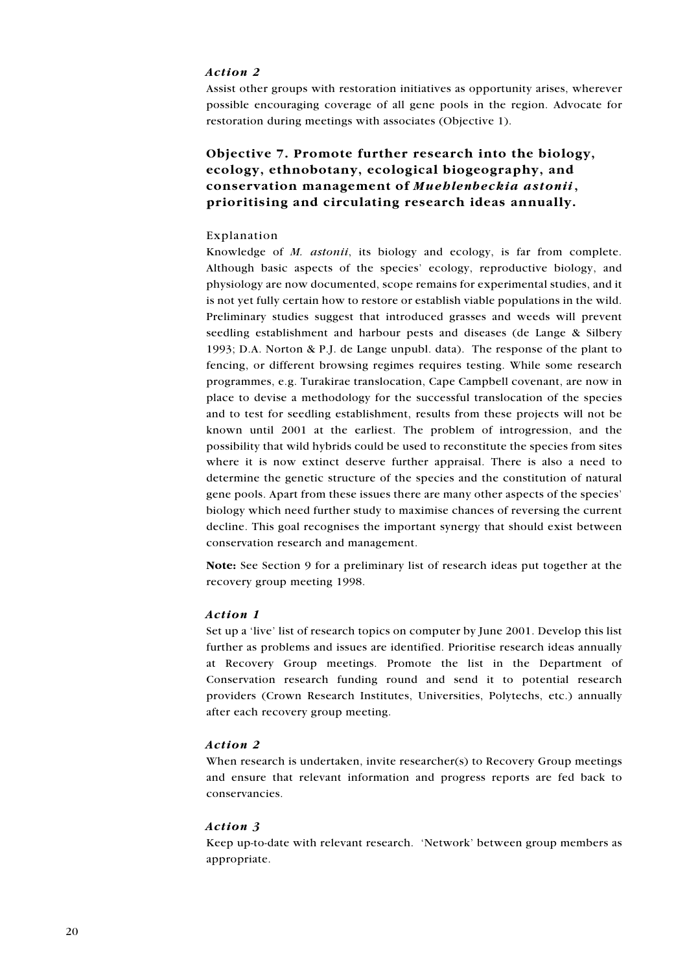### Action 2

Assist other groups with restoration initiatives as opportunity arises, wherever possible encouraging coverage of all gene pools in the region. Advocate for restoration during meetings with associates (Objective 1).

# Objective 7. Promote further research into the biology, ecology, ethnobotany, ecological biogeography, and conservation management of Mueblenbeckia astonii, prioritising and circulating research ideas annually.

#### Explanation

Knowledge of *M. astonii*, its biology and ecology, is far from complete. Although basic aspects of the species' ecology, reproductive biology, and physiology are now documented, scope remains for experimental studies, and it is not yet fully certain how to restore or establish viable populations in the wild. Preliminary studies suggest that introduced grasses and weeds will prevent seedling establishment and harbour pests and diseases (de Lange & Silbery 1993; D.A. Norton & P.J. de Lange unpubl. data). The response of the plant to fencing, or different browsing regimes requires testing. While some research programmes, e.g. Turakirae translocation, Cape Campbell covenant, are now in place to devise a methodology for the successful translocation of the species and to test for seedling establishment, results from these projects will not be known until 2001 at the earliest. The problem of introgression, and the possibility that wild hybrids could be used to reconstitute the species from sites where it is now extinct deserve further appraisal. There is also a need to determine the genetic structure of the species and the constitution of natural gene pools. Apart from these issues there are many other aspects of the species' biology which need further study to maximise chances of reversing the current decline. This goal recognises the important synergy that should exist between conservation research and management.

Note: See Section 9 for a preliminary list of research ideas put together at the recovery group meeting 1998.

#### Action 1

Set up a 'live' list of research topics on computer by June 2001. Develop this list further as problems and issues are identified. Prioritise research ideas annually at Recovery Group meetings. Promote the list in the Department of Conservation research funding round and send it to potential research providers (Crown Research Institutes, Universities, Polytechs, etc.) annually after each recovery group meeting.

#### Action 2

When research is undertaken, invite researcher(s) to Recovery Group meetings and ensure that relevant information and progress reports are fed back to conservancies.

### Action 3

Keep up-to-date with relevant research. 'Network' between group members as appropriate.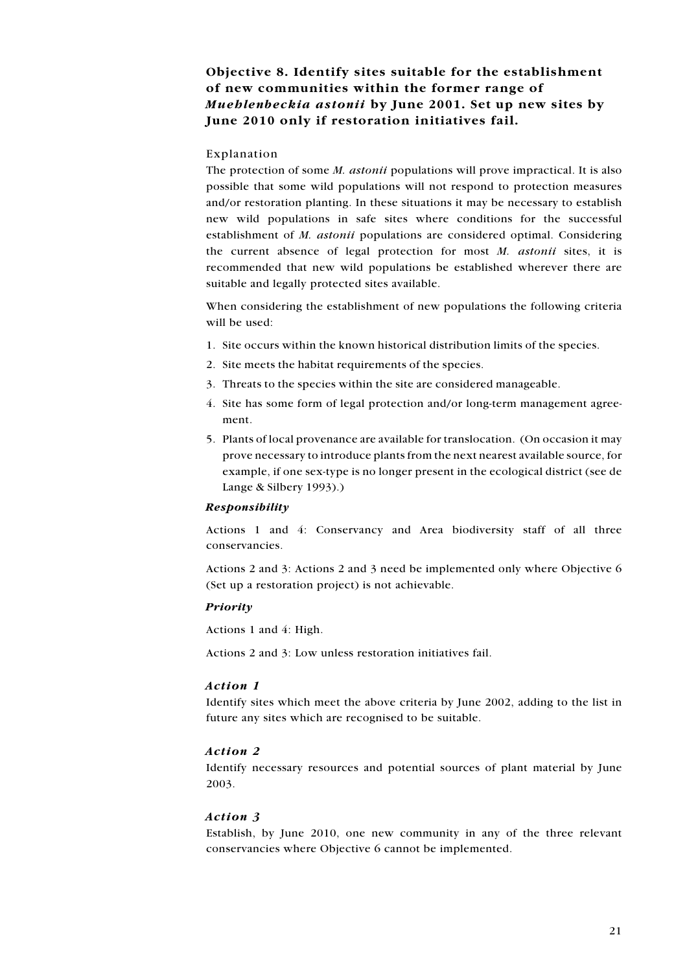# Objective 8. Identify sites suitable for the establishment of new communities within the former range of Mueblenbeckia astonii by June 2001. Set up new sites by June 2010 only if restoration initiatives fail.

### Explanation

The protection of some *M. astonii* populations will prove impractical. It is also possible that some wild populations will not respond to protection measures and/or restoration planting. In these situations it may be necessary to establish new wild populations in safe sites where conditions for the successful establishment of *M. astonii* populations are considered optimal. Considering the current absence of legal protection for most M. astonii sites, it is recommended that new wild populations be established wherever there are suitable and legally protected sites available.

When considering the establishment of new populations the following criteria will be used:

- 1. Site occurs within the known historical distribution limits of the species.
- 2. Site meets the habitat requirements of the species.
- 3. Threats to the species within the site are considered manageable.
- 4. Site has some form of legal protection and/or long-term management agreement.
- 5. Plants of local provenance are available for translocation. (On occasion it may prove necessary to introduce plants from the next nearest available source, for example, if one sex-type is no longer present in the ecological district (see de Lange & Silbery 1993).)

#### Responsibility

Actions 1 and 4: Conservancy and Area biodiversity staff of all three **conservancies** 

Actions 2 and 3: Actions 2 and 3 need be implemented only where Objective 6 (Set up a restoration project) is not achievable.

#### Priority

Actions 1 and 4: High.

Actions 2 and 3: Low unless restoration initiatives fail.

#### Action 1

Identify sites which meet the above criteria by June 2002, adding to the list in future any sites which are recognised to be suitable.

#### Action 2

Identify necessary resources and potential sources of plant material by June 2003.

#### Action 3

Establish, by June 2010, one new community in any of the three relevant conservancies where Objective 6 cannot be implemented.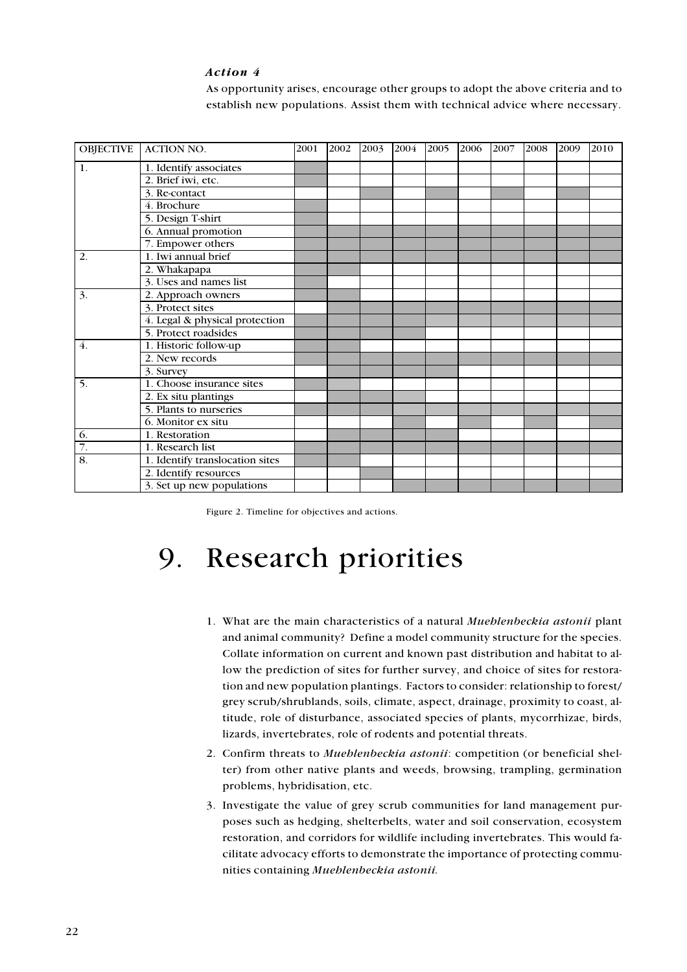### Action 4

As opportunity arises, encourage other groups to adopt the above criteria and to establish new populations. Assist them with technical advice where necessary.

|    | OBJECTIVE ACTION NO.            | 2001 | 2002 | 2003 | 2004 | 2005 | 2006 | 2007 | 2008 | 2009 | 2010 |
|----|---------------------------------|------|------|------|------|------|------|------|------|------|------|
| 1. | 1. Identify associates          |      |      |      |      |      |      |      |      |      |      |
|    | 2. Brief iwi, etc.              |      |      |      |      |      |      |      |      |      |      |
|    | 3. Re-contact                   |      |      |      |      |      |      |      |      |      |      |
|    | 4. Brochure                     |      |      |      |      |      |      |      |      |      |      |
|    | 5. Design T-shirt               |      |      |      |      |      |      |      |      |      |      |
|    | 6. Annual promotion             |      |      |      |      |      |      |      |      |      |      |
|    | 7. Empower others               |      |      |      |      |      |      |      |      |      |      |
| 2. | 1. Iwi annual brief             |      |      |      |      |      |      |      |      |      |      |
|    | 2. Whakapapa                    |      |      |      |      |      |      |      |      |      |      |
|    | 3. Uses and names list          |      |      |      |      |      |      |      |      |      |      |
| 3. | 2. Approach owners              |      |      |      |      |      |      |      |      |      |      |
|    | 3. Protect sites                |      |      |      |      |      |      |      |      |      |      |
|    | 4. Legal & physical protection  |      |      |      |      |      |      |      |      |      |      |
|    | 5. Protect roadsides            |      |      |      |      |      |      |      |      |      |      |
| 4. | 1. Historic follow-up           |      |      |      |      |      |      |      |      |      |      |
|    | 2. New records                  |      |      |      |      |      |      |      |      |      |      |
|    | 3. Survey                       |      |      |      |      |      |      |      |      |      |      |
| 5. | 1. Choose insurance sites       |      |      |      |      |      |      |      |      |      |      |
|    | 2. Ex situ plantings            |      |      |      |      |      |      |      |      |      |      |
|    | 5. Plants to nurseries          |      |      |      |      |      |      |      |      |      |      |
|    | 6. Monitor ex situ              |      |      |      |      |      |      |      |      |      |      |
| 6. | 1. Restoration                  |      |      |      |      |      |      |      |      |      |      |
| 7. | 1. Research list                |      |      |      |      |      |      |      |      |      |      |
| 8. | 1. Identify translocation sites |      |      |      |      |      |      |      |      |      |      |
|    | 2. Identify resources           |      |      |      |      |      |      |      |      |      |      |
|    | 3. Set up new populations       |      |      |      |      |      |      |      |      |      |      |

Figure 2. Timeline for objectives and actions.

## **Research priorities** 9.

- 1. What are the main characteristics of a natural Mueblenbeckia astonii plant and animal community? Define a model community structure for the species. Collate information on current and known past distribution and habitat to allow the prediction of sites for further survey, and choice of sites for restoration and new population plantings. Factors to consider: relationship to forest/ grey scrub/shrublands, soils, climate, aspect, drainage, proximity to coast, altitude, role of disturbance, associated species of plants, mycorrhizae, birds, lizards, invertebrates, role of rodents and potential threats.
- 2. Confirm threats to Muehlenbeckia astonii: competition (or beneficial shelter) from other native plants and weeds, browsing, trampling, germination problems, hybridisation, etc.
- 3. Investigate the value of grey scrub communities for land management purposes such as hedging, shelterbelts, water and soil conservation, ecosystem restoration, and corridors for wildlife including invertebrates. This would facilitate advocacy efforts to demonstrate the importance of protecting communities containing Mueblenbeckia astonii.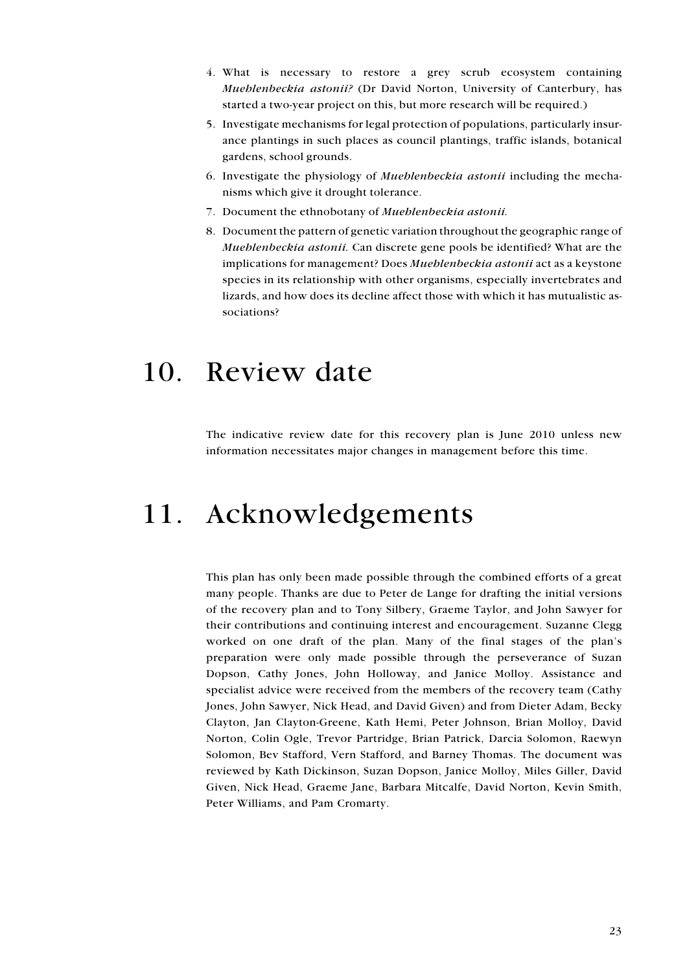- 4. What is necessary to restore a grey scrub ecosystem containing Muehlenbeckia astonii? (Dr David Norton, University of Canterbury, has started a two-year project on this, but more research will be required.)
- 5. Investigate mechanisms for legal protection of populations, particularly insurance plantings in such places as council plantings, traffic islands, botanical gardens, school grounds.
- 6. Investigate the physiology of *Mueblenbeckia astonii* including the mechanisms which give it drought tolerance.
- 7. Document the ethnobotany of Mueblenbeckia astonii.
- 8. Document the pattern of genetic variation throughout the geographic range of Mueblenbeckia astonii. Can discrete gene pools be identified? What are the implications for management? Does Mueblenbeckia astonii act as a keystone species in its relationship with other organisms, especially invertebrates and lizards, and how does its decline affect those with which it has mutualistic associations?

# 10. Review date

The indicative review date for this recovery plan is June 2010 unless new information necessitates major changes in management before this time.

# 11. Acknowledgements

This plan has only been made possible through the combined efforts of a great many people. Thanks are due to Peter de Lange for drafting the initial versions of the recovery plan and to Tony Silbery, Graeme Taylor, and John Sawyer for their contributions and continuing interest and encouragement. Suzanne Clegg worked on one draft of the plan. Many of the final stages of the plan's preparation were only made possible through the perseverance of Suzan Dopson, Cathy Jones, John Holloway, and Janice Molloy. Assistance and specialist advice were received from the members of the recovery team (Cathy Jones, John Sawyer, Nick Head, and David Given) and from Dieter Adam, Becky Clayton, Jan Clayton-Greene, Kath Hemi, Peter Johnson, Brian Molloy, David Norton, Colin Ogle, Trevor Partridge, Brian Patrick, Darcia Solomon, Raewyn Solomon, Bev Stafford, Vern Stafford, and Barney Thomas. The document was reviewed by Kath Dickinson, Suzan Dopson, Janice Molloy, Miles Giller, David Given, Nick Head, Graeme Jane, Barbara Mitcalfe, David Norton, Kevin Smith, Peter Williams, and Pam Cromarty.